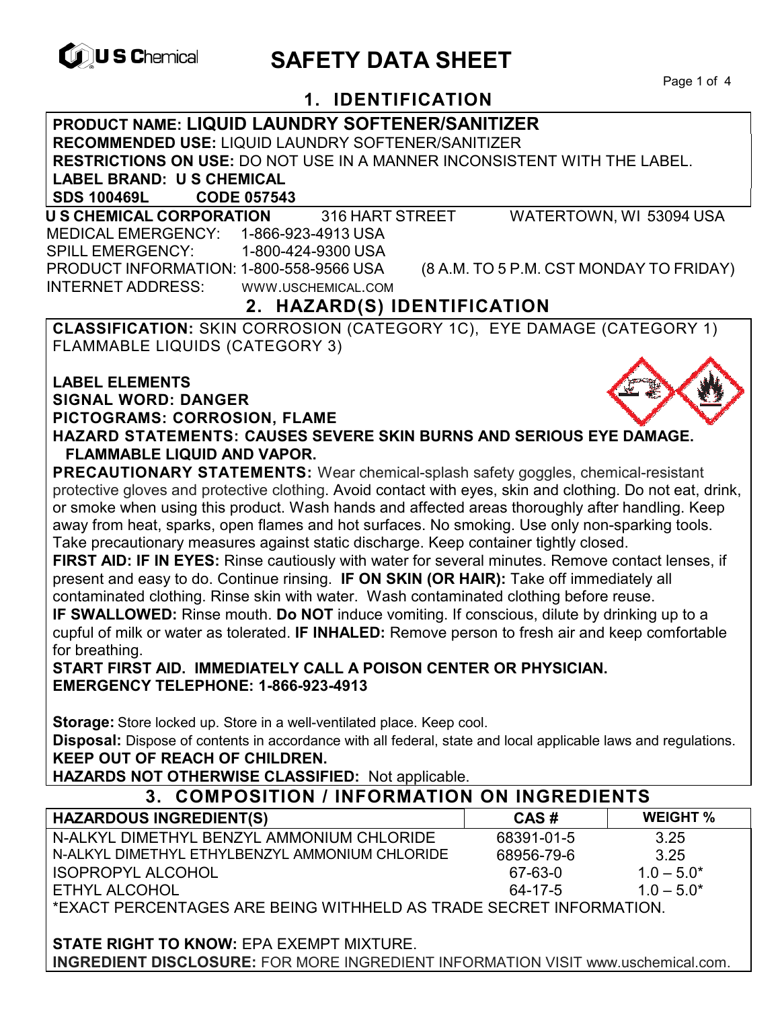

# **EXAGREM** SAFETY DATA SHEET

Page 1 of 4

# **1. IDENTIFICATION**

**PRODUCT NAME: LIQUID LAUNDRY SOFTENER/SANITIZER RECOMMENDED USE:** LIQUID LAUNDRY SOFTENER/SANITIZER **RESTRICTIONS ON USE:** DO NOT USE IN A MANNER INCONSISTENT WITH THE LABEL. **LABEL BRAND: U S CHEMICAL SDS 100469L CODE 057543** 

 **U S CHEMICAL CORPORATION** 316 HART STREET WATERTOWN, WI 53094 USA MEDICAL EMERGENCY: 1-866-923-4913 USA SPILL EMERGENCY: 1-800-424-9300 USA PRODUCT INFORMATION: 1-800-558-9566 USA (8 A.M. TO 5 P.M. CST MONDAY TO FRIDAY) INTERNET ADDRESS: WWW.USCHEMICAL.COM

# **2. HAZARD(S) IDENTIFICATION**

**CLASSIFICATION:** SKIN CORROSION (CATEGORY 1C), EYE DAMAGE (CATEGORY 1) FLAMMABLE LIQUIDS (CATEGORY 3)

**LABEL ELEMENTS SIGNAL WORD: DANGER PICTOGRAMS: CORROSION, FLAME HAZARD STATEMENTS: CAUSES SEVERE SKIN BURNS AND SERIOUS EYE DAMAGE. FLAMMABLE LIQUID AND VAPOR.** 

**PRECAUTIONARY STATEMENTS:** Wear chemical-splash safety goggles, chemical-resistant protective gloves and protective clothing. Avoid contact with eyes, skin and clothing. Do not eat, drink, or smoke when using this product. Wash hands and affected areas thoroughly after handling. Keep away from heat, sparks, open flames and hot surfaces. No smoking. Use only non-sparking tools. Take precautionary measures against static discharge. Keep container tightly closed.

**FIRST AID: IF IN EYES:** Rinse cautiously with water for several minutes. Remove contact lenses, if present and easy to do. Continue rinsing. **IF ON SKIN (OR HAIR):** Take off immediately all contaminated clothing. Rinse skin with water. Wash contaminated clothing before reuse.

**IF SWALLOWED:** Rinse mouth. **Do NOT** induce vomiting. If conscious, dilute by drinking up to a cupful of milk or water as tolerated. **IF INHALED:** Remove person to fresh air and keep comfortable for breathing.

**START FIRST AID. IMMEDIATELY CALL A POISON CENTER OR PHYSICIAN. EMERGENCY TELEPHONE: 1-866-923-4913** 

**Storage:** Store locked up. Store in a well-ventilated place. Keep cool.

**Disposal:** Dispose of contents in accordance with all federal, state and local applicable laws and regulations. **KEEP OUT OF REACH OF CHILDREN.** 

**HAZARDS NOT OTHERWISE CLASSIFIED:** Not applicable.

| 3. COMPOSITION / INFORMATION ON INGREDIENTS                        |            |                 |  |
|--------------------------------------------------------------------|------------|-----------------|--|
| <b>HAZARDOUS INGREDIENT(S)</b>                                     | CAS#       | <b>WEIGHT %</b> |  |
| N-ALKYL DIMETHYL BENZYL AMMONIUM CHLORIDE                          | 68391-01-5 | 3.25            |  |
| N-ALKYL DIMETHYL ETHYLBENZYL AMMONIUM CHLORIDE                     | 68956-79-6 | 3.25            |  |
| <b>ISOPROPYL ALCOHOL</b>                                           | 67-63-0    | $1.0 - 5.0*$    |  |
| ETHYL ALCOHOL                                                      | 64-17-5    | $1.0 - 5.0*$    |  |
| *EXACT PERCENTAGES ARE BEING WITHHELD AS TRADE SECRET INFORMATION. |            |                 |  |

**STATE RIGHT TO KNOW:** EPA EXEMPT MIXTURE. **INGREDIENT DISCLOSURE:** FOR MORE INGREDIENT INFORMATION VISIT www.uschemical.com.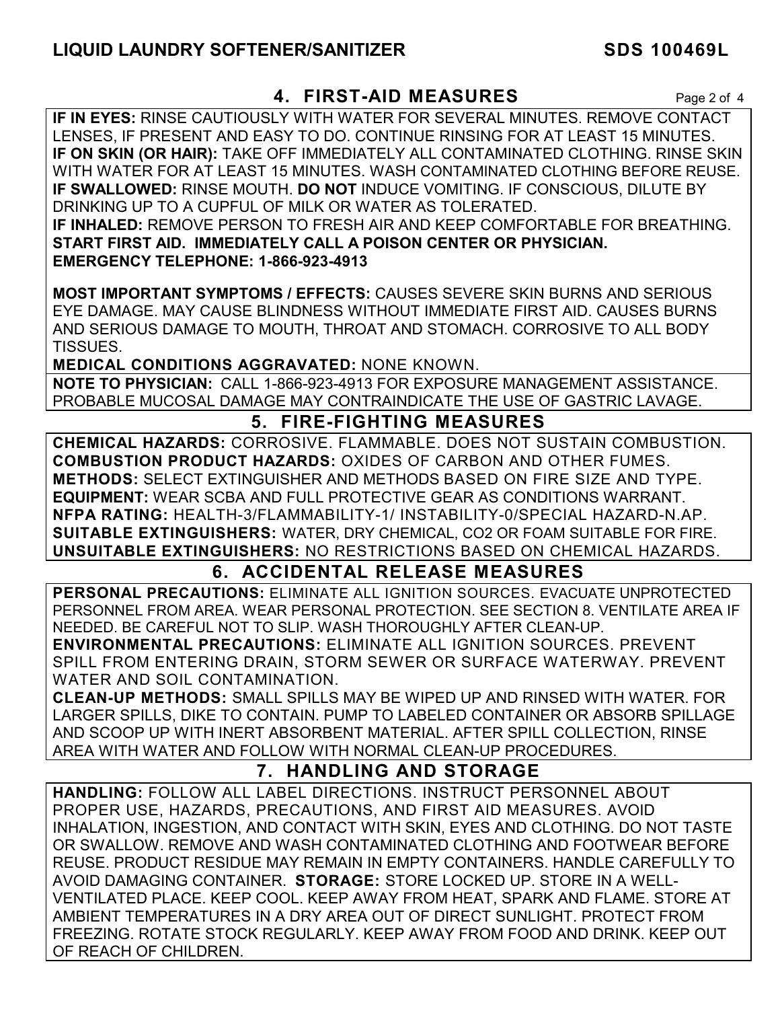### **4. FIRST-AID MEASURES** Page 2 of 4

**IF IN EYES:** RINSE CAUTIOUSLY WITH WATER FOR SEVERAL MINUTES. REMOVE CONTACT LENSES, IF PRESENT AND EASY TO DO. CONTINUE RINSING FOR AT LEAST 15 MINUTES. **IF ON SKIN (OR HAIR):** TAKE OFF IMMEDIATELY ALL CONTAMINATED CLOTHING. RINSE SKIN WITH WATER FOR AT LEAST 15 MINUTES. WASH CONTAMINATED CLOTHING BEFORE REUSE. **IF SWALLOWED:** RINSE MOUTH. **DO NOT** INDUCE VOMITING. IF CONSCIOUS, DILUTE BY DRINKING UP TO A CUPFUL OF MILK OR WATER AS TOLERATED. **IF INHALED:** REMOVE PERSON TO FRESH AIR AND KEEP COMFORTABLE FOR BREATHING. **START FIRST AID. IMMEDIATELY CALL A POISON CENTER OR PHYSICIAN. EMERGENCY TELEPHONE: 1-866-923-4913**

**MOST IMPORTANT SYMPTOMS / EFFECTS:** CAUSES SEVERE SKIN BURNS AND SERIOUS EYE DAMAGE. MAY CAUSE BLINDNESS WITHOUT IMMEDIATE FIRST AID. CAUSES BURNS AND SERIOUS DAMAGE TO MOUTH, THROAT AND STOMACH. CORROSIVE TO ALL BODY TISSUES.

**MEDICAL CONDITIONS AGGRAVATED:** NONE KNOWN.

**NOTE TO PHYSICIAN:** CALL 1-866-923-4913 FOR EXPOSURE MANAGEMENT ASSISTANCE. PROBABLE MUCOSAL DAMAGE MAY CONTRAINDICATE THE USE OF GASTRIC LAVAGE.

## **5. FIRE-FIGHTING MEASURES**

**CHEMICAL HAZARDS:** CORROSIVE. FLAMMABLE. DOES NOT SUSTAIN COMBUSTION. **COMBUSTION PRODUCT HAZARDS:** OXIDES OF CARBON AND OTHER FUMES. **METHODS:** SELECT EXTINGUISHER AND METHODS BASED ON FIRE SIZE AND TYPE. **EQUIPMENT:** WEAR SCBA AND FULL PROTECTIVE GEAR AS CONDITIONS WARRANT. **NFPA RATING:** HEALTH-3/FLAMMABILITY-1/ INSTABILITY-0/SPECIAL HAZARD-N.AP. **SUITABLE EXTINGUISHERS:** WATER, DRY CHEMICAL, CO2 OR FOAM SUITABLE FOR FIRE. **UNSUITABLE EXTINGUISHERS:** NO RESTRICTIONS BASED ON CHEMICAL HAZARDS.

### **6. ACCIDENTAL RELEASE MEASURES**

**PERSONAL PRECAUTIONS:** ELIMINATE ALL IGNITION SOURCES. EVACUATE UNPROTECTED PERSONNEL FROM AREA. WEAR PERSONAL PROTECTION. SEE SECTION 8. VENTILATE AREA IF NEEDED. BE CAREFUL NOT TO SLIP. WASH THOROUGHLY AFTER CLEAN-UP.

**ENVIRONMENTAL PRECAUTIONS:** ELIMINATE ALL IGNITION SOURCES. PREVENT SPILL FROM ENTERING DRAIN, STORM SEWER OR SURFACE WATERWAY. PREVENT WATER AND SOIL CONTAMINATION.

**CLEAN-UP METHODS:** SMALL SPILLS MAY BE WIPED UP AND RINSED WITH WATER. FOR LARGER SPILLS, DIKE TO CONTAIN. PUMP TO LABELED CONTAINER OR ABSORB SPILLAGE AND SCOOP UP WITH INERT ABSORBENT MATERIAL. AFTER SPILL COLLECTION, RINSE AREA WITH WATER AND FOLLOW WITH NORMAL CLEAN-UP PROCEDURES.

#### **7. HANDLING AND STORAGE**

**HANDLING:** FOLLOW ALL LABEL DIRECTIONS. INSTRUCT PERSONNEL ABOUT PROPER USE, HAZARDS, PRECAUTIONS, AND FIRST AID MEASURES. AVOID INHALATION, INGESTION, AND CONTACT WITH SKIN, EYES AND CLOTHING. DO NOT TASTE OR SWALLOW. REMOVE AND WASH CONTAMINATED CLOTHING AND FOOTWEAR BEFORE REUSE. PRODUCT RESIDUE MAY REMAIN IN EMPTY CONTAINERS. HANDLE CAREFULLY TO AVOID DAMAGING CONTAINER. **STORAGE:** STORE LOCKED UP. STORE IN A WELL-VENTILATED PLACE. KEEP COOL. KEEP AWAY FROM HEAT, SPARK AND FLAME. STORE AT AMBIENT TEMPERATURES IN A DRY AREA OUT OF DIRECT SUNLIGHT. PROTECT FROM FREEZING. ROTATE STOCK REGULARLY. KEEP AWAY FROM FOOD AND DRINK. KEEP OUT OF REACH OF CHILDREN.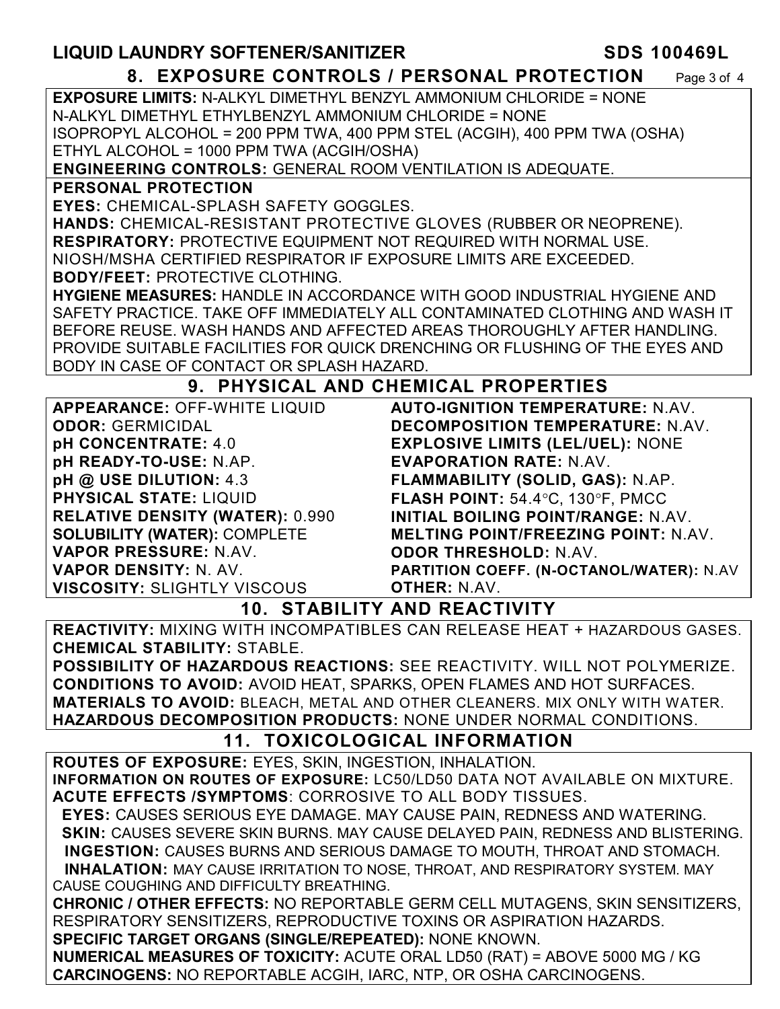# **LIQUID LAUNDRY SOFTENER/SANITIZER SDS 100469L**

#### **8. EXPOSURE CONTROLS / PERSONAL PROTECTION** Page 3 of 4

**EXPOSURE LIMITS:** N-ALKYL DIMETHYL BENZYL AMMONIUM CHLORIDE = NONE N-ALKYL DIMETHYL ETHYLBENZYL AMMONIUM CHLORIDE = NONE ISOPROPYL ALCOHOL = 200 PPM TWA, 400 PPM STEL (ACGIH), 400 PPM TWA (OSHA) ETHYL ALCOHOL = 1000 PPM TWA (ACGIH/OSHA)

**ENGINEERING CONTROLS:** GENERAL ROOM VENTILATION IS ADEQUATE.

#### **PERSONAL PROTECTION**

**EYES:** CHEMICAL-SPLASH SAFETY GOGGLES.

**HANDS:** CHEMICAL-RESISTANT PROTECTIVE GLOVES (RUBBER OR NEOPRENE). **RESPIRATORY:** PROTECTIVE EQUIPMENT NOT REQUIRED WITH NORMAL USE. NIOSH/MSHA CERTIFIED RESPIRATOR IF EXPOSURE LIMITS ARE EXCEEDED. **BODY/FEET:** PROTECTIVE CLOTHING.

**HYGIENE MEASURES:** HANDLE IN ACCORDANCE WITH GOOD INDUSTRIAL HYGIENE AND SAFETY PRACTICE. TAKE OFF IMMEDIATELY ALL CONTAMINATED CLOTHING AND WASH IT BEFORE REUSE. WASH HANDS AND AFFECTED AREAS THOROUGHLY AFTER HANDLING. PROVIDE SUITABLE FACILITIES FOR QUICK DRENCHING OR FLUSHING OF THE EYES AND BODY IN CASE OF CONTACT OR SPLASH HAZARD.

### **9. PHYSICAL AND CHEMICAL PROPERTIES**

| <b>APPEARANCE: OFF-WHITE LIQUID</b>    | <b>AUTO-IGNITION TEMPERATURE: N.AV.</b>    |  |
|----------------------------------------|--------------------------------------------|--|
| <b>ODOR: GERMICIDAL</b>                | DECOMPOSITION TEMPERATURE: N.AV.           |  |
| pH CONCENTRATE: 4.0                    | <b>EXPLOSIVE LIMITS (LEL/UEL): NONE</b>    |  |
| pH READY-TO-USE: N.AP.                 | <b>EVAPORATION RATE: N.AV.</b>             |  |
| pH @ USE DILUTION: 4.3                 | FLAMMABILITY (SOLID, GAS): N.AP.           |  |
| <b>PHYSICAL STATE: LIQUID</b>          | FLASH POINT: 54.4°C, 130°F, PMCC           |  |
| <b>RELATIVE DENSITY (WATER): 0.990</b> | INITIAL BOILING POINT/RANGE: N.AV.         |  |
| <b>SOLUBILITY (WATER): COMPLETE</b>    | <b>MELTING POINT/FREEZING POINT: N.AV.</b> |  |
| VAPOR PRESSURE: N.AV.                  | <b>ODOR THRESHOLD: N.AV.</b>               |  |
| <b>VAPOR DENSITY: N. AV.</b>           | PARTITION COEFF. (N-OCTANOL/WATER): N.AV   |  |
| <b>VISCOSITY: SLIGHTLY VISCOUS</b>     | <b>OTHER: N.AV.</b>                        |  |
|                                        |                                            |  |

#### **10. STABILITY AND REACTIVITY**

**REACTIVITY:** MIXING WITH INCOMPATIBLES CAN RELEASE HEAT + HAZARDOUS GASES. **CHEMICAL STABILITY:** STABLE.

**POSSIBILITY OF HAZARDOUS REACTIONS:** SEE REACTIVITY. WILL NOT POLYMERIZE. **CONDITIONS TO AVOID:** AVOID HEAT, SPARKS, OPEN FLAMES AND HOT SURFACES. **MATERIALS TO AVOID:** BLEACH, METAL AND OTHER CLEANERS. MIX ONLY WITH WATER. **HAZARDOUS DECOMPOSITION PRODUCTS:** NONE UNDER NORMAL CONDITIONS.

### **11. TOXICOLOGICAL INFORMATION**

**ROUTES OF EXPOSURE:** EYES, SKIN, INGESTION, INHALATION. **INFORMATION ON ROUTES OF EXPOSURE:** LC50/LD50 DATA NOT AVAILABLE ON MIXTURE. **ACUTE EFFECTS /SYMPTOMS**: CORROSIVE TO ALL BODY TISSUES.

 **EYES:** CAUSES SERIOUS EYE DAMAGE. MAY CAUSE PAIN, REDNESS AND WATERING.  **SKIN:** CAUSES SEVERE SKIN BURNS. MAY CAUSE DELAYED PAIN, REDNESS AND BLISTERING. **INGESTION:** CAUSES BURNS AND SERIOUS DAMAGE TO MOUTH, THROAT AND STOMACH. **INHALATION:** MAY CAUSE IRRITATION TO NOSE, THROAT, AND RESPIRATORY SYSTEM. MAY

CAUSE COUGHING AND DIFFICULTY BREATHING.

**CHRONIC / OTHER EFFECTS:** NO REPORTABLE GERM CELL MUTAGENS, SKIN SENSITIZERS, RESPIRATORY SENSITIZERS, REPRODUCTIVE TOXINS OR ASPIRATION HAZARDS. **SPECIFIC TARGET ORGANS (SINGLE/REPEATED):** NONE KNOWN.

**NUMERICAL MEASURES OF TOXICITY:** ACUTE ORAL LD50 (RAT) = ABOVE 5000 MG / KG **CARCINOGENS:** NO REPORTABLE ACGIH, IARC, NTP, OR OSHA CARCINOGENS.